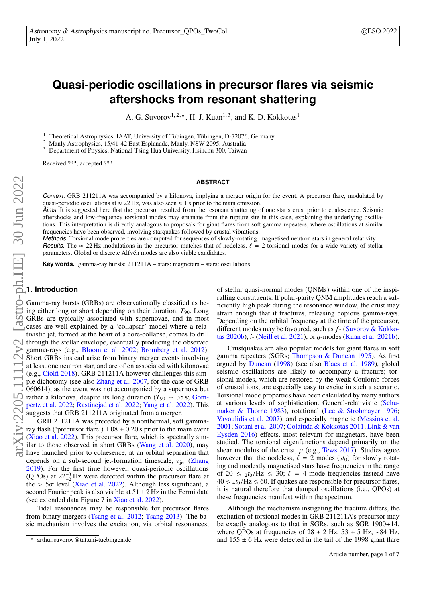# **Quasi-periodic oscillations in precursor flares via seismic aftershocks from resonant shattering**

A. G. Suvorov<sup>1, 2,  $\star$ </sup>, H. J. Kuan<sup>1, 3</sup>, and K. D. Kokkotas<sup>1</sup>

<sup>1</sup> Theoretical Astrophysics, IAAT, University of Tübingen, Tübingen, D-72076, Germany

<sup>2</sup> Manly Astrophysics, 15/41-42 East Esplanade, Manly, NSW 2095, Australia

<sup>3</sup> Department of Physics, National Tsing Hua University, Hsinchu 300, Taiwan

Received ???; accepted ???

#### **ABSTRACT**

Context. GRB 211211A was accompanied by a kilonova, implying a merger origin for the event. A precursor flare, modulated by quasi-periodic oscillations at  $\approx 22$  Hz, was also seen  $\approx 1$  s prior to the main emission.

Aims. It is suggested here that the precursor resulted from the resonant shattering of one star's crust prior to coalescence. Seismic aftershocks and low-frequency torsional modes may emanate from the rupture site in this case, explaining the underlying oscillations. This interpretation is directly analogous to proposals for giant flares from soft gamma repeaters, where oscillations at similar frequencies have been observed, involving starquakes followed by crustal vibrations.

Methods. Torsional mode properties are computed for sequences of slowly-rotating, magnetised neutron stars in general relativity. Results. The  $\approx 22$  Hz modulations in the precursor matches that of nodeless,  $\ell = 2$  torsional modes for a wide variety of stellar parameters. Global or discrete Alfvén modes are also viable candidates.

**Key words.** gamma-ray bursts: 211211A – stars: magnetars – stars: oscillations

# **1. Introduction**

Gamma-ray bursts (GRBs) are observationally classified as being either long or short depending on their duration, *T*90. Long GRBs are typically associated with supernovae, and in most cases are well-explained by a 'collapsar' model where a relativistic jet, formed at the heart of a core-collapse, comes to drill through the stellar envelope, eventually producing the observed gamma-rays (e.g., [Bloom et al.](#page-3-0) [2002;](#page-3-0) [Bromberg et al.](#page-3-1) [2012\)](#page-3-1). Short GRBs instead arise from binary merger events involving at least one neutron star, and are often associated with kilonovae (e.g., [Ciolfi](#page-3-2) [2018\)](#page-3-2). GRB 211211A however challenges this sim-ple dichotomy (see also [Zhang et al.](#page-4-0) [2007,](#page-4-0) for the case of GRB 060614), as the event was not accompanied by a supernova but rather a kilonova, despite its long duration ( $T_{90} \sim 35$  s; [Gom](#page-4-1)[pertz et al.](#page-4-1) [2022;](#page-4-1) [Rastinejad et al.](#page-4-2) [2022;](#page-4-2) [Yang et al.](#page-4-3) [2022\)](#page-4-3). This suggests that GRB 211211A originated from a merger.

GRB 211211A was preceded by a nonthermal, soft gammaray flash ('precursor flare')  $1.08 \pm 0.20$  s prior to the main event [\(Xiao et al.](#page-4-4) [2022\)](#page-4-4). This precursor flare, which is spectrally similar to those observed in short GRBs [\(Wang et al.](#page-4-5) [2020\)](#page-4-5), may have launched prior to colaesence, at an orbital separation that depends on a sub-second jet-formation timescale,  $\tau_{jet}$  [\(Zhang](#page-4-6) [2019\)](#page-4-6). For the first time however, quasi-periodic oscillations (QPOs) at  $22^{+3}_{-2}$  Hz were detected within the precursor flare at the >  $5\sigma$  level [\(Xiao et al.](#page-4-4) [2022\)](#page-4-4). Although less significant, a second Fourier peak is also visible at  $51 \pm 2$  Hz in the Fermi data (see extended data Figure 7 in [Xiao et al.](#page-4-4) [2022\)](#page-4-4).

Tidal resonances may be responsible for precursor flares from binary mergers [\(Tsang et al.](#page-4-7) [2012;](#page-4-7) [Tsang](#page-4-8) [2013\)](#page-4-8). The basic mechanism involves the excitation, via orbital resonances, of stellar quasi-normal modes (QNMs) within one of the inspiralling constituents. If polar-parity QNM amplitudes reach a sufficiently high peak during the resonance window, the crust may strain enough that it fractures, releasing copious gamma-rays. Depending on the orbital frequency at the time of the precursor, different modes may be favoured, such as *f*- [\(Suvorov & Kokko](#page-4-9)[tas](#page-4-9) [2020b\)](#page-4-9), *<sup>i</sup>*- [\(Neill et al.](#page-4-10) [2021\)](#page-4-10), or g-modes [\(Kuan et al.](#page-4-11) [2021b\)](#page-4-11).

Crustquakes are also popular models for giant flares in soft gamma repeaters (SGRs; [Thompson & Duncan](#page-4-12) [1995\)](#page-4-12). As first argued by [Duncan](#page-3-3) [\(1998\)](#page-3-3) (see also [Blaes et al.](#page-3-4) [1989\)](#page-3-4), global seismic oscillations are likely to accompany a fracture; torsional modes, which are restored by the weak Coulomb forces of crustal ions, are especially easy to excite in such a scenario. Torsional mode properties have been calculated by many authors at various levels of sophistication. General-relativistic [\(Schu](#page-4-13)[maker & Thorne](#page-4-13) [1983\)](#page-4-13), rotational [\(Lee & Strohmayer](#page-4-14) [1996;](#page-4-14) [Vavoulidis et al.](#page-4-15) [2007\)](#page-4-15), and especially magnetic [\(Messios et al.](#page-4-16) [2001;](#page-4-16) [Sotani et al.](#page-4-17) [2007;](#page-4-17) [Colaiuda & Kokkotas](#page-3-5) [2011;](#page-3-5) [Link & van](#page-4-18) [Eysden](#page-4-18) [2016\)](#page-4-18) effects, most relevant for magnetars, have been studied. The torsional eigenfunctions depend primarily on the shear modulus of the crust,  $\mu$  (e.g., [Tews](#page-4-19) [2017\)](#page-4-19). Studies agree however that the nodeless,  $\ell = 2$  modes ( $_2t_0$ ) for slowly rotating and modestly magnetised stars have frequencies in the range of 20  $\leq$  2t<sub>0</sub>/Hz  $\leq$  30;  $\ell = 4$  mode frequencies instead have  $40 \leq 4t_0$ /Hz  $\leq 60$ . If quakes are responsible for precursor flares, it is natural therefore that damped oscillations (i.e., QPOs) at these frequencies manifest within the spectrum.

Although the mechanism instigating the fracture differs, the excitation of torsional modes in GRB 211211A's precursor may be exactly analogous to that in SGRs, such as SGR 1900+14, where QPOs at frequencies of  $28 \pm 2$  Hz,  $53 \pm 5$  Hz, ~84 Hz, and  $155 \pm 6$  Hz were detected in the tail of the 1998 giant flare

<sup>?</sup> arthur.suvorov@tat.uni-tuebingen.de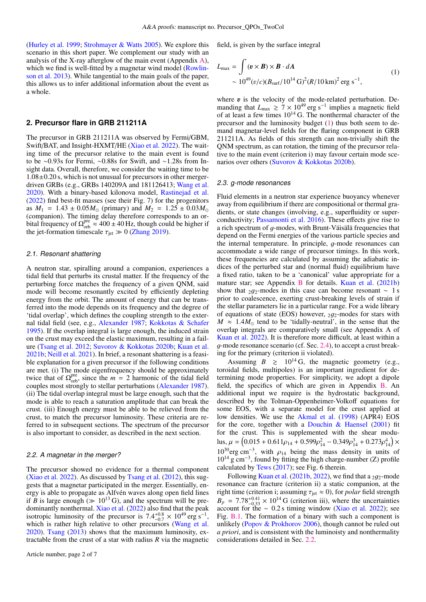[\(Hurley et al.](#page-4-20) [1999;](#page-4-20) [Strohmayer & Watts](#page-4-21) [2005\)](#page-4-21). We explore this scenario in this short paper. We complement our study with an analysis of the X-ray afterglow of the main event (Appendix [A\)](#page-5-0), which we find is well-fitted by a magnetar wind model [\(Rowlin](#page-4-22)[son et al.](#page-4-22) [2013\)](#page-4-22). While tangential to the main goals of the paper, this allows us to infer additional information about the event as a whole.

# <span id="page-1-4"></span>**2. Precursor flare in GRB 211211A**

The precursor in GRB 211211A was observed by Fermi/GBM, Swift/BAT, and Insight-HXMT/HE [\(Xiao et al.](#page-4-4) [2022\)](#page-4-4). The waiting time of the precursor relative to the main event is found to be ∼0.93s for Fermi, ∼0.88s for Swift, and ∼1.28s from Insight data. Overall, therefore, we consider the waiting time to be  $1.08\pm0.20$  s, which is not unusual for precursors in other mergerdriven GRBs (e.g., GRBs 140209A and 181126413; [Wang et al.](#page-4-5) [2020\)](#page-4-5). With a binary-based kilonova model, [Rastinejad et al.](#page-4-2) [\(2022\)](#page-4-2) find best-fit masses (see their Fig. 7) for the progenitors as  $M_1 = 1.43 \pm 0.05 M_{\odot}$  (primary) and  $M_2 = 1.25 \pm 0.03 M_{\odot}$ (companion). The timing delay therefore corresponds to an orbital frequency of  $\Omega_{orb}^{pre} \approx 400 \pm 40$  Hz, though could be higher if the jet-formation timescale  $\tau_{\text{iet}} \gg 0$  [\(Zhang](#page-4-6) [2019\)](#page-4-6).

# <span id="page-1-2"></span>2.1. Resonant shattering

A neutron star, spiralling around a companion, experiences a tidal field that perturbs its crustal matter. If the frequency of the perturbing force matches the frequency of a given QNM, said mode will become resonantly excited by efficiently depleting energy from the orbit. The amount of energy that can be transferred into the mode depends on its frequency and the degree of 'tidal overlap', which defines the coupling strength to the external tidal field (see, e.g., [Alexander](#page-3-6) [1987;](#page-3-6) [Kokkotas & Schafer](#page-4-23) [1995\)](#page-4-23). If the overlap integral is large enough, the induced strain on the crust may exceed the elastic maximum, resulting in a failure [\(Tsang et al.](#page-4-7) [2012;](#page-4-7) [Suvorov & Kokkotas](#page-4-9) [2020b;](#page-4-9) [Kuan et al.](#page-4-11) [2021b;](#page-4-11) [Neill et al.](#page-4-10) [2021\)](#page-4-10). In brief, a resonant shattering is a feasible explanation for a given precursor if the following conditions are met. (i) The mode eigenfrequency should be approximately twice that of  $\Omega_{\text{orb}}^{\text{pre}}$ , since the  $m = 2$  harmonic of the tidal field couples most strongly to stellar perturbations [\(Alexander](#page-3-6) [1987\)](#page-3-6). (ii) The tidal overlap integral must be large enough, such that the mode is able to reach a saturation amplitude that can break the crust. (iii) Enough energy must be able to be relieved from the crust, to match the precursor luminosity. These criteria are referred to in subsequent sections. The spectrum of the precursor is also important to consider, as described in the next section.

#### <span id="page-1-1"></span>2.2. A magnetar in the merger?

The precursor showed no evidence for a thermal component [\(Xiao et al.](#page-4-4) [2022\)](#page-4-4). As discussed by [Tsang et al.](#page-4-7) [\(2012\)](#page-4-7), this suggests that a magnetar participated in the merger. Essentially, energy is able to propagate as Alfvén waves along open field lines if *B* is large enough ( $\gg 10^{13}$  G), and the spectrum will be predominantly nonthermal. [Xiao et al.](#page-4-4) [\(2022\)](#page-4-4) also find that the peak isotropic luminosity of the precursor is  $7.4^{+0.8}_{-0.7} \times 10^{49}$  erg s<sup>-1</sup>,<br>which is rather high relative to other precursors (Wang et al. which is rather high relative to other precursors [\(Wang et al.](#page-4-5) [2020\)](#page-4-5). [Tsang](#page-4-8) [\(2013\)](#page-4-8) shows that the maximum luminosity, extractable from the crust of a star with radius *R* via the magnetic <span id="page-1-0"></span>field, is given by the surface integral

$$
L_{\text{max}} = \int (\mathbf{v} \times \mathbf{B}) \times \mathbf{B} \cdot d\mathbf{A}
$$
  
~ 
$$
\sim 10^{49} (v/c)(B_{\text{surf}}/10^{14} \text{ G})^2 (R/10 \text{ km})^2 \text{ erg s}^{-1},
$$
 (1)

where *v* is the velocity of the mode-related perturbation. De-<br>manding that  $L_{\text{max}} \ge 7 \times 10^{49}$  erg s<sup>-1</sup> implies a magnetic field of at least a few times  $10^{14}$  G. The nonthermal character of the precursor and the luminosity budget [\(1\)](#page-1-0) thus both seem to demand magnetar-level fields for the flaring component in GRB 211211A. As fields of this strength can non-trivially shift the QNM spectrum, as can rotation, the timing of the precursor relative to the main event (criterion i) may favour certain mode scenarios over others [\(Suvorov & Kokkotas](#page-4-9) [2020b\)](#page-4-9).

#### <span id="page-1-3"></span>2.3. g-mode resonances

Fluid elements in a neutron star experience buoyancy whenever away from equilibrium if there are compositional or thermal gradients, or state changes (involving, e.g., superfluidity or superconductivity; [Passamonti et al.](#page-4-24) [2016\)](#page-4-24). These effects give rise to a rich spectrum of  $q$ -modes, with Brunt-Väisälä frequencies that depend on the Fermi energies of the various particle species and the internal temperature. In principle, g-mode resonances can accommodate a wide range of precursor timings. In this work, these frequencies are calculated by assuming the adiabatic indices of the perturbed star and (normal fluid) equilibrium have a fixed ratio, taken to be a 'canonical' value appropriate for a mature star; see Appendix [B](#page-5-1) for details. [Kuan et al.](#page-4-11) [\(2021b\)](#page-4-11) show that  $2q_2$ -modes in this case can become resonant ∼ 1 s prior to coalescence, exerting crust-breaking levels of strain if the stellar parameters lie in a particular range. For a wide library of equations of state (EOS) however,  $_2g_2$ -modes for stars with  $M \approx 1.4 M_{\odot}$  tend to be 'tidally-neutral', in the sense that the overlap integrals are comparatively small (see Appendix A of [Kuan et al.](#page-4-25) [2022\)](#page-4-25). It is therefore more difficult, at least within a g-mode resonance scenario (cf. Sec. [2.4\)](#page-2-0), to accept a crust breaking for the primary (criterion ii violated).

Assuming  $B \geq 10^{14}$  G, the magnetic geometry (e.g., toroidal fields, multipoles) is an important ingredient for determining mode properties. For simplicity, we adopt a dipole field, the specifics of which are given in Appendix [B.](#page-5-1) An additional input we require is the hydrostatic background, described by the Tolman-Oppenheimer-Volkoff equations for some EOS, with a separate model for the crust applied at low densities. We use the [Akmal et al.](#page-3-7) [\(1998\)](#page-3-7) (APR4) EOS for the core, together with a [Douchin & Haensel](#page-3-8) [\(2001\)](#page-3-8) fit for the crust. This is supplemented with the shear modulus,  $\mu = \left(0.015 + 0.611\rho_{14} + 0.599\rho_{14}^2 - 0.349\rho_{14}^3 + 0.273\rho_{14}^4\right) \times$  $10^{30}$ erg cm<sup>-3</sup>, with  $\rho_{14}$  being the mass density in units of  $10^{14}$  g cm<sup>-3</sup>, found by fitting the high charge-number (Z) profile calculated by [Tews](#page-4-19) [\(2017\)](#page-4-19); see Fig. 6 therein.

Following [Kuan et al.](#page-4-11) [\(2021b,](#page-4-11) [2022\)](#page-4-25), we find that a  $_2q_2$ -mode resonance can fracture (criterion ii) a static companion, at the right time (criterion i; assuming  $\tau_{jet} \approx 0$ ), for *polar* field strength  $B_p = 7.78_{-0.33}^{+0.41} \times 10^{14}$  G (criterion iii), where the uncertainties account for the  $\sim 0.2$  s timing window (Xiao et al. 2022); see account for the  $~\sim~0.2$  s timing window [\(Xiao et al.](#page-4-4) [2022\)](#page-4-4); see Fig. [B.1.](#page-6-0) The formation of a binary with such a component is unlikely [\(Popov & Prokhorov](#page-4-26) [2006\)](#page-4-26), though cannot be ruled out *a priori*, and is consistent with the luminoisty and nonthermality considerations detailed in Sec. [2.2.](#page-1-1)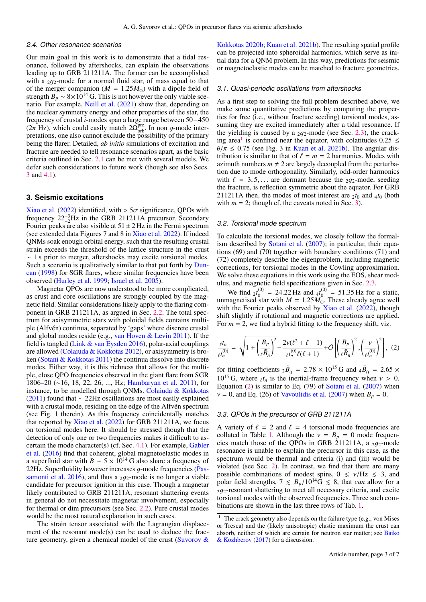#### <span id="page-2-0"></span>2.4. Other resonance scenarios

Our main goal in this work is to demonstrate that a tidal resonance, followed by aftershocks, can explain the observations leading up to GRB 211211A. The former can be accomplished with a  $2g_2$ -mode for a normal fluid star, of mass equal to that of the merger companion ( $M = 1.25M_{\odot}$ ) with a dipole field of strength  $B_p \sim 8 \times 10^{14}$  G. This is not however the only viable scenario. For example, [Neill et al.](#page-4-10) [\(2021\)](#page-4-10) show that, depending on the nuclear symmetry energy and other properties of the star, the frequency of crustal *i*-modes span a large range between 50−450  $(2\pi \text{ Hz})$ , which could easily match  $2\Omega_{\text{orb}}^{\text{pre}}$ . In non *g*-mode inter-<br>pretations, one also cannot exclude the possibility of the primary being the flarer. Detailed, *ab initio* simulations of excitation and fracture are needed to tell resonance scenarios apart, as the basic criteria outlined in Sec. [2.1](#page-1-2) can be met with several models. We defer such considerations to future work (though see also Secs. [3](#page-2-1) and [4.1\)](#page-3-9).

# <span id="page-2-1"></span>**3. Seismic excitations**

[Xiao et al.](#page-4-4) [\(2022\)](#page-4-4) identified, with  $> 5\sigma$  significance, QPOs with frequency  $22^{+3}_{-2}$ Hz in the GRB 211211A precursor. Secondary Fourier peaks are also visible at  $51 \pm 2$  Hz in the Fermi spectrum (see extended data Figures 7 and 8 in [Xiao et al.](#page-4-4) [2022\)](#page-4-4). If indeed QNMs soak enough orbital energy, such that the resulting crustal strain exceeds the threshold of the lattice structure in the crust ∼ 1 s prior to merger, aftershocks may excite torsional modes. Such a scenario is qualitatively similar to that put forth by [Dun](#page-3-3)[can](#page-3-3) [\(1998\)](#page-3-3) for SGR flares, where similar frequencies have been observed [\(Hurley et al.](#page-4-20) [1999;](#page-4-20) [Israel et al.](#page-4-27) [2005\)](#page-4-27).

Magnetar QPOs are now understood to be more complicated, as crust and core oscillations are strongly coupled by the magnetic field. Similar considerations likely apply to the flaring component in GRB 211211A, as argued in Sec. [2.2.](#page-1-1) The total spectrum for axisymmetric stars with poloidal fields contains multiple (Alfvén) continua, separated by 'gaps' where discrete crustal and global modes reside (e.g., [van Hoven & Levin](#page-4-28) [2011\)](#page-4-28). If the field is tangled [\(Link & van Eysden](#page-4-18) [2016\)](#page-4-18), polar-axial couplings are allowed [\(Colaiuda & Kokkotas](#page-3-10) [2012\)](#page-3-10), or axisymmetry is broken [\(Sotani & Kokkotas](#page-4-29) [2011\)](#page-4-29) the continua dissolve into discrete modes. Either way, it is this richness that allows for the multiple, close QPO frequencies observed in the giant flare from SGR 1806–20 (∼16, 18, 22, 26, ..., Hz; [Hambaryan et al.](#page-4-30) [2011\)](#page-4-30), for instance, to be modelled through QNMs. [Colaiuda & Kokkotas](#page-3-5) [\(2011\)](#page-3-5) found that ∼ 22Hz oscillations are most easily explained with a crustal mode, residing on the edge of the Alfvén spectrum (see Fig. 1 therein). As this frequency coincidentally matches that reported by [Xiao et al.](#page-4-4) [\(2022\)](#page-4-4) for GRB 211211A, we focus on torsional modes here. It should be stressed though that the detection of only one or two frequencies makes it difficult to ascertain the mode character(s) (cf. Sec. [4.1\)](#page-3-9). For example, [Gabler](#page-4-31) [et al.](#page-4-31) [\(2016\)](#page-4-31) find that coherent, global magnetoelastic modes in a superfluid star with *B* ~  $5 \times 10^{14}$  G also share a frequency of 22Hz. Superfluidity however increases  $q$ -mode frequencies [\(Pas](#page-4-24)[samonti et al.](#page-4-24) [2016\)](#page-4-24), and thus a  $_2q_2$ -mode is no longer a viable candidate for precursor ignition in this case. Though a magnetar likely contributed to GRB 211211A, resonant shattering events in general do not necessitate magnetar involvement, especially for thermal or dim precursors (see Sec. [2.2\)](#page-1-1). Pure crustal modes would be the most natural explanation in such cases.

The strain tensor associated with the Lagrangian displacement of the resonant mode(s) can be used to deduce the fracture geometry, given a chemical model of the crust [\(Suvorov &](#page-4-9)

[Kokkotas](#page-4-9) [2020b;](#page-4-9) [Kuan et al.](#page-4-11) [2021b\)](#page-4-11). The resulting spatial profile can be projected into spheroidal harmonics, which serve as initial data for a QNM problem. In this way, predictions for seismic or magnetoelastic modes can be matched to fracture geometries.

### <span id="page-2-4"></span>3.1. Quasi-periodic oscillations from aftershocks

As a first step to solving the full problem described above, we make some quantitative predictions by computing the properties for free (i.e., without fracture seeding) torsional modes, assuming they are excited immediately after a tidal resonance. If the yielding is caused by a  $_2q_2$ -mode (see Sec. [2.3\)](#page-1-3), the crack-ing area<sup>[1](#page-2-2)</sup> is confined near the equator, with colatitudes  $0.25 \le \theta/\pi < 0.75$  (see Fig. 3 in Kuan et al. 2021b). The angular dis- $\theta/\pi \leq 0.75$  (see Fig. 3 in [Kuan et al.](#page-4-11) [2021b\)](#page-4-11). The angular distribution is similar to that of  $\ell = m = 2$  harmonics. Modes with azimuth numbers  $m \neq 2$  are largely decoupled from the perturbation due to mode orthogonality. Similarly, odd-order harmonics with  $\ell = 3, 5, \ldots$  are dormant because the  $2q_2$ -mode, seeding the fracture, is reflection symmetric about the equator. For GRB 211211A then, the modes of most interest are  $_2t_0$  and  $_4t_0$  (both with  $m = 2$ ; though cf. the caveats noted in Sec. [3\)](#page-2-1).

#### 3.2. Torsional mode spectrum

To calculate the torsional modes, we closely follow the formalism described by [Sotani et al.](#page-4-17) [\(2007\)](#page-4-17); in particular, their equations (69) and (70) together with boundary conditions (71) and (72) completely describe the eigenproblem, including magnetic corrections, for torsional modes in the Cowling approximation. We solve these equations in this work using the EOS, shear modulus, and magnetic field specifications given in Sec. [2.3.](#page-1-3)

We find  $_2t_0^{(0)}$  $_{0}^{(0)} = 24.22$  Hz and  $_{4}t_{0}^{(0)}$ <br>star with  $M = 1.25 M_{\odot}$  $_0^{(0)} = 51.35$  Hz for a static,<br>  $\therefore$  These already agree well unmagnetised star with  $M = 1.25 M_{\odot}$ . These already agree well<br>with the Fourier peaks observed by Xiao et al. (2022) though with the Fourier peaks observed by [Xiao et al.](#page-4-4) [\(2022\)](#page-4-4), though shift slightly if rotational and magnetic corrections are applied. For  $m = 2$ , we find a hybrid fitting to the frequency shift, viz.

<span id="page-2-3"></span>
$$
\frac{\ell^{t_n}}{\ell^{t_n}} = \sqrt{1 + \left(\frac{B_p}{\ell \tilde{B}_n}\right)^2} - \frac{2\nu(\ell^2 + \ell - 1)}{\ell^{t_n}(\ell + 1)} + O\left[\left(\frac{B_p}{\ell \tilde{B}_n}\right)^2, \left(\frac{\nu}{\ell^{t_n}}\right)^2\right], (2)
$$

for fitting coefficients  ${}_{2}B_{0} = 2.78 \times 10^{15}$  G and  ${}_{4}B_{0} = 2.65 \times 10^{15}$  G, where *t*, is the inertial frame frequency when  $y > 0$ . 10<sup>15</sup> G, where  ${}_{\ell}t_n$  is the inertial-frame frequency when  $v > 0$ .<br>Fouation (2) is similar to Eq. (79) of Sotani et al. (2007) when Equation [\(2\)](#page-2-3) is similar to Eq. (79) of [Sotani et al.](#page-4-17) [\(2007\)](#page-4-17) when  $v = 0$ , and Eq. (26) of [Vavoulidis et al.](#page-4-15) [\(2007\)](#page-4-15) when  $B_p = 0$ .

#### 3.3. QPOs in the precursor of GRB 211211A

A variety of  $\ell = 2$  and  $\ell = 4$  torsional mode frequencies are collated in Table [1.](#page-3-11) Although the  $v = B_p = 0$  mode frequencies match those of the QPOs in GRB 211211A, a  $2q_2$ -mode resonance is unable to explain the precursor in this case, as the spectrum would be thermal and criteria (i) and (iii) would be violated (see Sec. [2\)](#page-1-4). In contrast, we find that there are many possible combinations of modest spins,  $0 \le v/Hz \le 3$ , and polar field strengths,  $7 \leq B_p/10^{14}$ G  $\leq 8$ , that *can* allow for a  $292$ -resonant shattering to meet all necessary criteria, and excite torsional modes with the observed frequencies. Three such combinations are shown in the last three rows of Tab. [1.](#page-3-11)

<span id="page-2-2"></span>The crack geometry also depends on the failure type (e.g., von Mises or Tresca) and the (likely anisotropic) elastic maximum the crust can absorb, neither of which are certain for neutron star matter; see [Baiko](#page-3-12) [& Kozhberov](#page-3-12) [\(2017\)](#page-3-12) for a discussion.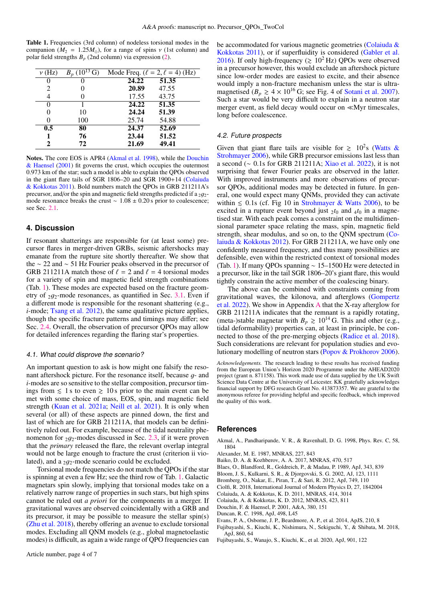<span id="page-3-11"></span>Table 1. Frequencies (3rd column) of nodeless torsional modes in the companion ( $M_2 = 1.25M_{\odot}$ ), for a range of spins v (1st column) and polar field strengths *B<sup>p</sup>* (2nd column) via expression [\(2\)](#page-2-3).

| $\nu$ (Hz)     | $B_p(10^{13}\overline{\text{G}})$ | Mode Freq. $(\ell = 2, \ell = 4)$ (Hz) |       |
|----------------|-----------------------------------|----------------------------------------|-------|
| 0              |                                   | 24.22                                  | 51.35 |
| 2              |                                   | 20.89                                  | 47.55 |
| $\overline{4}$ |                                   | 17.55                                  | 43.75 |
| $_{0}$         |                                   | 24.22                                  | 51.35 |
| 0              | 10                                | 24.24                                  | 51.39 |
| 0              | 100                               | 25.74                                  | 54.88 |
| 0.5            | 80                                | 24.37                                  | 52.69 |
|                | 76                                | 23.44                                  | 51.52 |
| 2              | 72                                | 21.69                                  | 49.41 |
|                |                                   |                                        |       |

Notes. The core EOS is APR4 [\(Akmal et al.](#page-3-7) [1998\)](#page-3-7), while the [Douchin](#page-3-8) [& Haensel](#page-3-8) [\(2001\)](#page-3-8) fit governs the crust, which occupies the outermost <sup>0</sup>.973 km of the star; such a model is able to explain the QPOs observed in the giant flare tails of SGR 1806–20 and SGR 1900+14 [\(Colaiuda](#page-3-5) [& Kokkotas](#page-3-5) [2011\)](#page-3-5). Bold numbers match the QPOs in GRB 211211A's precursor, and/or the spin and magnetic field strengths predicted if a  $_2q_2$ mode resonance breaks the crust  $\sim 1.08 \pm 0.20$  s prior to coalescence; see Sec. [2.1.](#page-1-2)

# <span id="page-3-16"></span>**4. Discussion**

If resonant shatterings are responsible for (at least some) precursor flares in merger-driven GRBs, seismic aftershocks may emanate from the rupture site shortly thereafter. We show that the ∼ 22 and ∼ 51 Hz Fourier peaks observed in the precursor of GRB 211211A match those of  $\ell = 2$  and  $\ell = 4$  torsional modes for a variety of spin and magnetic field strength combinations (Tab. [1\)](#page-3-11). These modes are expected based on the fracture geometry of  $2q_2$ -mode resonances, as quantified in Sec. [3.1.](#page-2-4) Even if a different mode is responsible for the resonant shattering (e.g., *i*-mode; [Tsang et al.](#page-4-7) [2012\)](#page-4-7), the same qualitative picture applies, though the specific fracture patterns and timings may differ; see Sec. [2.4.](#page-2-0) Overall, the observation of precursor QPOs may allow for detailed inferences regarding the flaring star's properties.

#### <span id="page-3-9"></span>4.1. What could disprove the scenario?

An important question to ask is how might one falsify the resonant aftershock picture. For the resonance itself, because  $q$ - and *i*-modes are so sensitive to the stellar composition, precursor timings from  $\leq 1$  s to even  $\geq 10$  s prior to the main event can be met with some choice of mass, EOS, spin, and magnetic field strength [\(Kuan et al.](#page-4-32) [2021a;](#page-4-32) [Neill et al.](#page-4-10) [2021\)](#page-4-10). It is only when several (or all) of these aspects are pinned down, the first and last of which are for GRB 211211A, that models can be definitively ruled out. For example, because of the tidal neutrality phenomenon for  $_2q_2$ -modes discussed in Sec. [2.3,](#page-1-3) if it were proven that the *primary* released the flare, the relevant overlap integral would not be large enough to fracture the crust (criterion ii violated), and a  $_2q_2$ -mode scenario could be excluded.

Torsional mode frequencies do not match the QPOs if the star is spinning at even a few Hz; see the third row of Tab. [1.](#page-3-11) Galactic magnetars spin slowly, implying that torsional modes take on a relatively narrow range of properties in such stars, but high spins cannot be ruled out *a priori* for the components in a merger. If gravitational waves are observed coincidentally with a GRB and its precursor, it may be possible to measure the stellar spin(s) [\(Zhu et al.](#page-4-33) [2018\)](#page-4-33), thereby offering an avenue to exclude torsional modes. Excluding all QNM models (e.g., global magnetoelastic modes) is difficult, as again a wide range of QPO frequencies can

be accommodated for various magnetic geometries [\(Colaiuda &](#page-3-5) [Kokkotas](#page-3-5) [2011\)](#page-3-5), or if superfluidity is considered [\(Gabler et al.](#page-4-31) [2016\)](#page-4-31). If only high-frequency ( $\geq 10^2$  Hz) QPOs were observed in a precursor however, this would exclude an aftershock picture since low-order modes are easiest to excite, and their absence would imply a non-fracture mechanism unless the star is ultramagnetised  $(B_p \ge 4 \times 10^{16} \text{ G}$ ; see Fig. 4 of [Sotani et al.](#page-4-17) [2007\)](#page-4-17). Such a star would be very difficult to explain in a neutron star merger event, as field decay would occur on  $\ll Myr$  timescales, long before coalescence.

### 4.2. Future prospects

Given that giant flare tails are visible for  $\gtrsim 10^2$ s [\(Watts &](#page-4-34) [Strohmayer](#page-4-34) [2006\)](#page-4-34), while GRB precursor emissions last less than a second (<sup>∼</sup> <sup>0</sup>.1s for GRB 211211A; [Xiao et al.](#page-4-4) [2022\)](#page-4-4), it is not surprising that fewer Fourier peaks are observed in the latter. With improved instruments and more observations of precursor QPOs, additional modes may be detected in future. In general, one would expect many QNMs, provided they can activate within  $\leq 0.1$ s (cf. Fig 10 in [Strohmayer & Watts](#page-4-35) [2006\)](#page-4-35), to be excited in a rupture event beyond just  $_2t_0$  and  $_4t_0$  in a magnetised star. With each peak comes a constraint on the multidimensional parameter space relating the mass, spin, magnetic field strength, shear modulus, and so on, to the QNM spectrum [\(Co](#page-3-10)[laiuda & Kokkotas](#page-3-10) [2012\)](#page-3-10). For GRB 211211A, we have only one confidently measured frequency, and thus many possibilities are defensible, even within the restricted context of torsional modes (Tab. [1\)](#page-3-11). If many QPOs spanning ∼ 15–1500 Hz were detected in a precursor, like in the tail SGR 1806–20's giant flare, this would tightly constrain the active member of the coalescing binary.

The above can be combined with constraints coming from gravitational waves, the kilonova, and afterglows [\(Gompertz](#page-4-1) [et al.](#page-4-1) [2022\)](#page-4-1). We show in Appendix [A](#page-5-0) that the X-ray afterglow for GRB 211211A indicates that the remnant is a rapidly rotating, (meta-)stable magnetar with  $B_p \ge 10^{14}$  G. This and other (e.g., tidal deformability) properties can, at least in principle, be connected to those of the pre-merging objects [\(Radice et al.](#page-4-36) [2018\)](#page-4-36). Such considerations are relevant for population studies and evolutionary modelling of neutron stars [\(Popov & Prokhorov](#page-4-26) [2006\)](#page-4-26).

*Acknowledgements.* The research leading to these results has received funding from the European Union's Horizon 2020 Programme under the AHEAD2020 project (grant n. 871158). This work made use of data supplied by the UK Swift Science Data Centre at the University of Leicester. KK gratefully acknowledges financial support by DFG research Grant No. 413873357. We are grateful to the anonymous referee for providing helpful and specific feedback, which improved the quality of this work.

#### **References**

- <span id="page-3-7"></span>Akmal, A., Pandharipande, V. R., & Ravenhall, D. G. 1998, Phys. Rev. C, 58, 1804
- <span id="page-3-6"></span>Alexander, M. E. 1987, MNRAS, 227, 843
- <span id="page-3-12"></span>Baiko, D. A. & Kozhberov, A. A. 2017, MNRAS, 470, 517
- <span id="page-3-4"></span>Blaes, O., Blandford, R., Goldreich, P., & Madau, P. 1989, ApJ, 343, 839
- <span id="page-3-0"></span>Bloom, J. S., Kulkarni, S. R., & Djorgovski, S. G. 2002, AJ, 123, 1111
- <span id="page-3-1"></span>Bromberg, O., Nakar, E., Piran, T., & Sari, R. 2012, ApJ, 749, 110
- <span id="page-3-2"></span>Ciolfi, R. 2018, International Journal of Modern Physics D, 27, 1842004
- <span id="page-3-5"></span>Colaiuda, A. & Kokkotas, K. D. 2011, MNRAS, 414, 3014
- <span id="page-3-10"></span>Colaiuda, A. & Kokkotas, K. D. 2012, MNRAS, 423, 811
- <span id="page-3-8"></span>Douchin, F. & Haensel, P. 2001, A&A, 380, 151
- <span id="page-3-3"></span>Duncan, R. C. 1998, ApJ, 498, L45
- <span id="page-3-15"></span>Evans, P. A., Osborne, J. P., Beardmore, A. P., et al. 2014, ApJS, 210, 8
- <span id="page-3-13"></span>Fujibayashi, S., Kiuchi, K., Nishimura, N., Sekiguchi, Y., & Shibata, M. 2018, ApJ, 860, 64
- <span id="page-3-14"></span>Fujibayashi, S., Wanajo, S., Kiuchi, K., et al. 2020, ApJ, 901, 122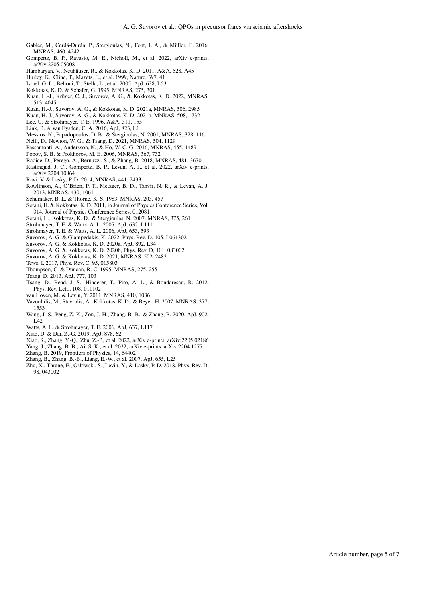- <span id="page-4-31"></span>Gabler, M., Cerdá-Durán, P., Stergioulas, N., Font, J. A., & Müller, E. 2016, MNRAS, 460, 4242
- <span id="page-4-1"></span>Gompertz, B. P., Ravasio, M. E., Nicholl, M., et al. 2022, arXiv e-prints, arXiv:2205.05008
- <span id="page-4-30"></span>Hambaryan, V., Neuhäuser, R., & Kokkotas, K. D. 2011, A&A, 528, A45
- <span id="page-4-20"></span>Hurley, K., Cline, T., Mazets, E., et al. 1999, Nature, 397, 41
- <span id="page-4-27"></span>Israel, G. L., Belloni, T., Stella, L., et al. 2005, ApJ, 628, L53
- <span id="page-4-23"></span>Kokkotas, K. D. & Schafer, G. 1995, MNRAS, 275, 301
- <span id="page-4-25"></span>Kuan, H.-J., Krüger, C. J., Suvorov, A. G., & Kokkotas, K. D. 2022, MNRAS, 513, 4045
- <span id="page-4-32"></span>Kuan, H.-J., Suvorov, A. G., & Kokkotas, K. D. 2021a, MNRAS, 506, 2985
- <span id="page-4-11"></span>Kuan, H.-J., Suvorov, A. G., & Kokkotas, K. D. 2021b, MNRAS, 508, 1732
- <span id="page-4-14"></span>Lee, U. & Strohmayer, T. E. 1996, A&A, 311, 155
- <span id="page-4-18"></span>Link, B. & van Eysden, C. A. 2016, ApJ, 823, L1
- <span id="page-4-16"></span>Messios, N., Papadopoulos, D. B., & Stergioulas, N. 2001, MNRAS, 328, 1161
- <span id="page-4-10"></span>Neill, D., Newton, W. G., & Tsang, D. 2021, MNRAS, 504, 1129
- <span id="page-4-24"></span>Passamonti, A., Andersson, N., & Ho, W. C. G. 2016, MNRAS, 455, 1489
- <span id="page-4-26"></span>Popov, S. B. & Prokhorov, M. E. 2006, MNRAS, 367, 732
- <span id="page-4-36"></span>Radice, D., Perego, A., Bernuzzi, S., & Zhang, B. 2018, MNRAS, 481, 3670
- <span id="page-4-2"></span>Rastinejad, J. C., Gompertz, B. P., Levan, A. J., et al. 2022, arXiv e-prints, arXiv:2204.10864
- <span id="page-4-37"></span>Ravi, V. & Lasky, P. D. 2014, MNRAS, 441, 2433
- <span id="page-4-22"></span>Rowlinson, A., O'Brien, P. T., Metzger, B. D., Tanvir, N. R., & Levan, A. J. 2013, MNRAS, 430, 1061
- <span id="page-4-13"></span>Schumaker, B. L. & Thorne, K. S. 1983, MNRAS, 203, 457
- <span id="page-4-29"></span>Sotani, H. & Kokkotas, K. D. 2011, in Journal of Physics Conference Series, Vol. 314, Journal of Physics Conference Series, 012081
- <span id="page-4-17"></span>Sotani, H., Kokkotas, K. D., & Stergioulas, N. 2007, MNRAS, 375, 261
- <span id="page-4-21"></span>Strohmayer, T. E. & Watts, A. L. 2005, ApJ, 632, L111
- <span id="page-4-35"></span>Strohmayer, T. E. & Watts, A. L. 2006, ApJ, 653, 593
- <span id="page-4-39"></span>Suvorov, A. G. & Glampedakis, K. 2022, Phys. Rev. D, 105, L061302
- <span id="page-4-40"></span>Suvorov, A. G. & Kokkotas, K. D. 2020a, ApJ, 892, L34
- <span id="page-4-9"></span>Suvorov, A. G. & Kokkotas, K. D. 2020b, Phys. Rev. D, 101, 083002
- <span id="page-4-41"></span>Suvorov, A. G. & Kokkotas, K. D. 2021, MNRAS, 502, 2482
- <span id="page-4-19"></span>Tews, I. 2017, Phys. Rev. C, 95, 015803
- <span id="page-4-12"></span>Thompson, C. & Duncan, R. C. 1995, MNRAS, 275, 255
- <span id="page-4-8"></span>Tsang, D. 2013, ApJ, 777, 103
- <span id="page-4-7"></span>Tsang, D., Read, J. S., Hinderer, T., Piro, A. L., & Bondarescu, R. 2012, Phys. Rev. Lett., 108, 011102
- <span id="page-4-28"></span>van Hoven, M. & Levin, Y. 2011, MNRAS, 410, 1036
- <span id="page-4-15"></span>Vavoulidis, M., Stavridis, A., Kokkotas, K. D., & Beyer, H. 2007, MNRAS, 377, 1553
- <span id="page-4-5"></span>Wang, J.-S., Peng, Z.-K., Zou, J.-H., Zhang, B.-B., & Zhang, B. 2020, ApJ, 902,  $IA2$
- <span id="page-4-34"></span>Watts, A. L. & Strohmayer, T. E. 2006, ApJ, 637, L117
- <span id="page-4-38"></span>Xiao, D. & Dai, Z.-G. 2019, ApJ, 878, 62
- <span id="page-4-4"></span>Xiao, S., Zhang, Y.-Q., Zhu, Z.-P., et al. 2022, arXiv e-prints, arXiv:2205.02186
- <span id="page-4-3"></span>Yang, J., Zhang, B. B., Ai, S. K., et al. 2022, arXiv e-prints, arXiv:2204.12771
- <span id="page-4-6"></span>Zhang, B. 2019, Frontiers of Physics, 14, 64402
- <span id="page-4-0"></span>Zhang, B., Zhang, B.-B., Liang, E.-W., et al. 2007, ApJ, 655, L25
- <span id="page-4-33"></span>Zhu, X., Thrane, E., Osłowski, S., Levin, Y., & Lasky, P. D. 2018, Phys. Rev. D, 98, 043002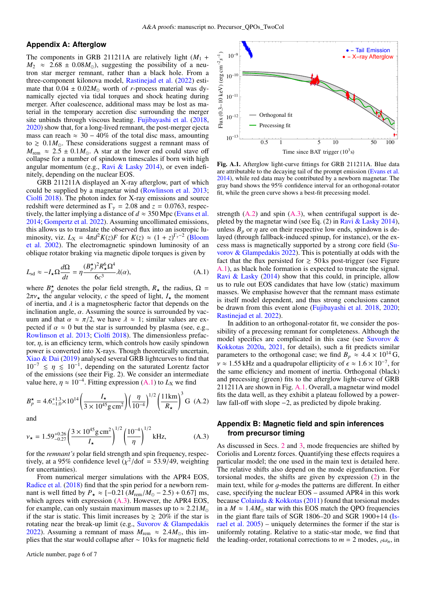# <span id="page-5-0"></span>**Appendix A: Afterglow**

The components in GRB 211211A are relatively light  $(M_1 +$  $M_2 \approx 2.68 \pm 0.08 M_{\odot}$ , suggesting the possibility of a neutron star merger remnant, rather than a black hole. From a three-component kilonova model, [Rastinejad et al.](#page-4-2) [\(2022\)](#page-4-2) estimate that  $0.04 \pm 0.02 M_{\odot}$  worth of *r*-process material was dynamically ejected via tidal torques and shock heating during merger. After coalescence, additional mass may be lost as material in the temporary accretion disc surrounding the merger site unbinds through viscous heating. [Fujibayashi et al.](#page-3-13) [\(2018,](#page-3-13) [2020\)](#page-3-14) show that, for a long-lived remnant, the post-merger ejecta mass can reach  $\approx 30 - 40\%$  of the total disc mass, amounting to  $\geq 0.1 M_{\odot}$ . These considerations suggest a remnant mass of  $M_{\text{rem}} \approx 2.5 \pm 0.1 M_{\odot}$ . A star at the lower end could stave off collapse for a number of spindown timescales if born with high angular momentum (e.g., [Ravi & Lasky](#page-4-37) [2014\)](#page-4-37), or even indefinitely, depending on the nuclear EOS.

GRB 211211A displayed an X-ray afterglow, part of which could be supplied by a magnetar wind [\(Rowlinson et al.](#page-4-22) [2013;](#page-4-22) [Ciolfi](#page-3-2) [2018\)](#page-3-2). The photon index for X-ray emissions and source redshift were determined as  $\Gamma_{\gamma} = 2.08$  and  $z = 0.0763$ , respectively, the latter implying a distance of  $d \approx 350$  Mpc [\(Evans et al.](#page-3-15) [2014;](#page-3-15) [Gompertz et al.](#page-4-1) [2022\)](#page-4-1). Assuming uncollimated emissions, this allows us to translate the observed flux into an isotropic luminosity, viz.  $L_X = 4\pi d^2 K(z)F$  for  $K(z) \approx (1 + z)^{\Gamma_Y - 2}$  [\(Bloom](#page-3-0)<br>et al. 2002). The electromagnetic spindown luminosity of an [et al.](#page-3-0) [2002\)](#page-3-0). The electromagnetic spindown luminosity of an oblique rotator braking via magnetic dipole torques is given by

$$
L_{\rm sd} \approx -I_{\star} \Omega \frac{d\Omega}{dt} = \eta \frac{(B_{p}^{\star})^2 R_{\star}^6 \Omega^4}{6c^3} \lambda(\alpha), \tag{A.1}
$$

where  $B_p^{\star}$  denotes the polar field strength,  $R_{\star}$  the radius,  $\Omega = 2\pi v$ , the noment  $2\pi v_{\star}$  the angular velocity, *c* the speed of light,  $I_{\star}$  the moment of inertia, and  $\lambda$  is a magnetospheric factor that depends on the inclination angle,  $\alpha$ . Assuming the source is surrounded by vacuum and that  $\alpha \approx \pi/2$ , we have  $\lambda \approx 1$ ; similar values are expected if  $\alpha \approx 0$  but the star is surrounded by plasma (see, e.g., [Rowlinson et al.](#page-4-22) [2013;](#page-4-22) [Ciolfi](#page-3-2) [2018\)](#page-3-2). The dimensionless prefactor,  $\eta$ , is an efficiency term, which controls how easily spindown power is converted into X-rays. Though theoretically uncertain, [Xiao & Dai](#page-4-38) [\(2019\)](#page-4-38) analysed several GRB lightcurves to find that  $10^{-7}$   $\leq \eta \leq 10^{-1}$ , depending on the saturated Lorentz factor of the emissions (see their Fig. 2). We consider an intermediate of the emissions (see their Fig. 2). We consider an intermediate value here,  $\eta \approx 10^{-4}$ . Fitting expression [\(A.1\)](#page-5-2) to  $L_X$  we find

$$
B_p^{\star} = 4.6^{+1.3}_{-1.0} \times 10^{14} \left( \frac{I_{\star}}{3 \times 10^{45} \text{g cm}^2} \right) \left( \frac{\eta}{10^{-4}} \right)^{1/2} \left( \frac{11 \text{km}}{R_{\star}} \right)^3 \text{G} \text{ (A.2)}
$$

<span id="page-5-3"></span>and

$$
\nu_{\star} = 1.59^{+0.26}_{-0.27} \left( \frac{3 \times 10^{45} \text{g cm}^2}{I_{\star}} \right)^{1/2} \left( \frac{10^{-4}}{\eta} \right)^{1/2} \text{kHz},\tag{A.3}
$$

for the *remnant's* polar field strength and spin frequency, respectively, at a 95% confidence level  $(\chi^2/\text{dof} = 53.9/49)$ , weighting for uncertainties) for uncertainties).

From numerical merger simulations with the APR4 EOS, [Radice et al.](#page-4-36) [\(2018\)](#page-4-36) find that the spin period for a newborn remnant is well fitted by  $P_{\star} \approx$  [-0.21 ( $M_{\text{rem}}/M_{\odot}$  − 2.5) + 0.67] ms, which agrees with expression  $(A.3)$ . However, the APR4 EOS, for example, can only sustain maximum masses up to  $\approx 2.21 M_{\odot}$ if the star is static. This limit increases by  $\geq 20\%$  if the star is rotating near the break-up limit (e.g., [Suvorov & Glampedakis](#page-4-39) [2022\)](#page-4-39). Assuming a remnant of mass  $M_{\text{rem}} \approx 2.4 M_{\odot}$ , this implies that the star would collapse after ∼ 10 ks for magnetic field



<span id="page-5-5"></span>Fig. A.1. Afterglow light-curve fittings for GRB 211211A. Blue data are attributable to the decaying tail of the prompt emission [\(Evans et al.](#page-3-15) [2014\)](#page-3-15), while red data may be contributed by a newborn magnetar. The gray band shows the 95% confidence interval for an orthogonal-rotator fit, while the green curve shows a best-fit precessing model.

<span id="page-5-2"></span>strength  $(A.2)$  and spin  $(A.3)$ , when centrifugal support is depleted by the magnetar wind (see Eq. (2) in [Ravi & Lasky](#page-4-37) [2014\)](#page-4-37), unless  $B_p$  or  $\eta$  are on their respective low ends, spindown is delayed (through fallback-induced spinup, for instance), or the excess mass is magnetically supported by a strong core field [\(Su](#page-4-39)[vorov & Glampedakis](#page-4-39) [2022\)](#page-4-39). This is potentially at odds with the fact that the flux persisted for  $\geq 50$  ks post-trigger (see Figure [A.1\)](#page-5-5), as black hole formation is expected to truncate the signal. [Ravi & Lasky](#page-4-37) [\(2014\)](#page-4-37) show that this could, in principle, allow us to rule out EOS candidates that have low (static) maximum masses. We emphasise however that the remnant mass estimate is itself model dependent, and thus strong conclusions cannot be drawn from this event alone [\(Fujibayashi et al.](#page-3-13) [2018,](#page-3-13) [2020;](#page-3-14) [Rastinejad et al.](#page-4-2) [2022\)](#page-4-2).

In addition to an orthogonal-rotator fit, we consider the possibility of a precessing remnant for completeness. Although the model specifics are complicated in this case (see [Suvorov &](#page-4-40) [Kokkotas](#page-4-40) [2020a,](#page-4-40) [2021,](#page-4-41) for details), such a fit predicts similar parameters to the orthogonal case; we find  $B_p \approx 4.4 \times 10^{14}$  G,  $v \approx 1.55 \text{ kHz}$  and a quadrupolar ellipticity of  $\epsilon \approx 1.6 \times 10^{-7}$ , for the same efficiency and moment of inertia. Orthogonal (black) the same efficiency and moment of inertia. Orthogonal (black) and precessing (green) fits to the afterglow light-curve of GRB 211211A are shown in Fig. [A.1.](#page-5-5) Overall, a magnetar wind model fits the data well, as they exhibit a plateau followed by a powerlaw fall-off with slope −2, as predicted by dipole braking.

# <span id="page-5-4"></span><span id="page-5-1"></span>**Appendix B: Magnetic field and spin inferences from precursor timing**

As discussed in Secs. [2](#page-1-4) and [3,](#page-2-1) mode frequencies are shifted by Coriolis and Lorentz forces. Quantifying these effects requires a particular model; the one used in the main text is detailed here. The relative shifts also depend on the mode eigenfunction. For torsional modes, the shifts are given by expression [\(2\)](#page-2-3) in the main text, while for g-modes the patterns are different. In either case, specifying the nuclear EOS – assumed APR4 in this work because [Colaiuda & Kokkotas](#page-3-5) [\(2011\)](#page-3-5) found that torsional modes in a  $M \approx 1.4 M_{\odot}$  star with this EOS match the QPO frequencies in the giant flare tails of SGR 1806–20 and SGR 1900+14 [\(Is](#page-4-27)[rael et al.](#page-4-27) [2005\)](#page-4-27) – uniquely determines the former if the star is uniformly rotating. Relative to a static-star mode, we find that the leading-order, rotational corrections to  $m = 2$  modes,  $\ell \omega_n$ , in